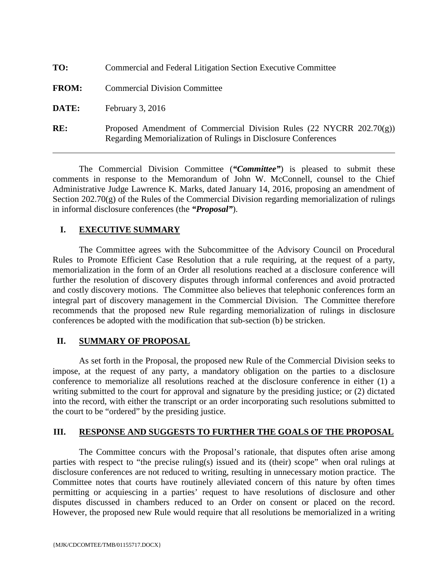| TO:          | Commercial and Federal Litigation Section Executive Committee                                                                             |
|--------------|-------------------------------------------------------------------------------------------------------------------------------------------|
| <b>FROM:</b> | <b>Commercial Division Committee</b>                                                                                                      |
| DATE:        | February $3, 2016$                                                                                                                        |
| RE:          | Proposed Amendment of Commercial Division Rules (22 NYCRR $202.70(g)$ )<br>Regarding Memorialization of Rulings in Disclosure Conferences |

The Commercial Division Committee (*"Committee"*) is pleased to submit these comments in response to the Memorandum of John W. McConnell, counsel to the Chief Administrative Judge Lawrence K. Marks, dated January 14, 2016, proposing an amendment of Section 202.70(g) of the Rules of the Commercial Division regarding memorialization of rulings in informal disclosure conferences (the *"Proposal"*).

## **I. EXECUTIVE SUMMARY**

The Committee agrees with the Subcommittee of the Advisory Council on Procedural Rules to Promote Efficient Case Resolution that a rule requiring, at the request of a party, memorialization in the form of an Order all resolutions reached at a disclosure conference will further the resolution of discovery disputes through informal conferences and avoid protracted and costly discovery motions. The Committee also believes that telephonic conferences form an integral part of discovery management in the Commercial Division. The Committee therefore recommends that the proposed new Rule regarding memorialization of rulings in disclosure conferences be adopted with the modification that sub-section (b) be stricken.

## **II. SUMMARY OF PROPOSAL**

As set forth in the Proposal, the proposed new Rule of the Commercial Division seeks to impose, at the request of any party, a mandatory obligation on the parties to a disclosure conference to memorialize all resolutions reached at the disclosure conference in either (1) a writing submitted to the court for approval and signature by the presiding justice; or (2) dictated into the record, with either the transcript or an order incorporating such resolutions submitted to the court to be "ordered" by the presiding justice.

## **III. RESPONSE AND SUGGESTS TO FURTHER THE GOALS OF THE PROPOSAL**

The Committee concurs with the Proposal's rationale, that disputes often arise among parties with respect to "the precise ruling(s) issued and its (their) scope" when oral rulings at disclosure conferences are not reduced to writing, resulting in unnecessary motion practice. The Committee notes that courts have routinely alleviated concern of this nature by often times permitting or acquiescing in a parties' request to have resolutions of disclosure and other disputes discussed in chambers reduced to an Order on consent or placed on the record. However, the proposed new Rule would require that all resolutions be memorialized in a writing